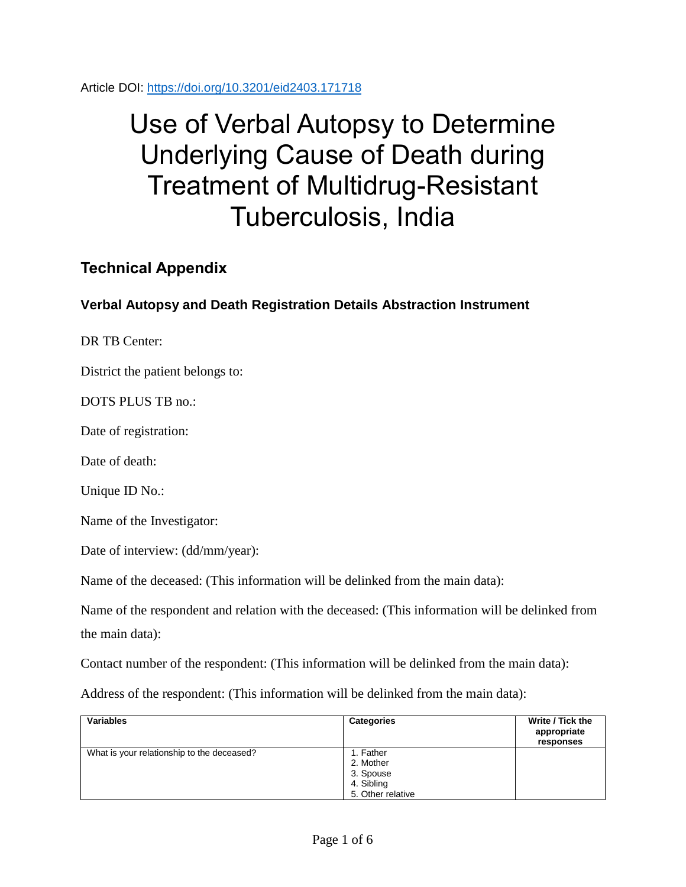Article DOI:<https://doi.org/10.3201/eid2403.171718>

# Use of Verbal Autopsy to Determine Underlying Cause of Death during Treatment of Multidrug-Resistant Tuberculosis, India

## **Technical Appendix**

### **Verbal Autopsy and Death Registration Details Abstraction Instrument**

DR TB Center:

District the patient belongs to:

DOTS PLUS TB no.:

Date of registration:

Date of death:

Unique ID No.:

Name of the Investigator:

Date of interview: (dd/mm/year):

Name of the deceased: (This information will be delinked from the main data):

Name of the respondent and relation with the deceased: (This information will be delinked from the main data):

Contact number of the respondent: (This information will be delinked from the main data):

Address of the respondent: (This information will be delinked from the main data):

| <b>Variables</b>                           | <b>Categories</b>                                                      | Write / Tick the<br>appropriate<br>responses |
|--------------------------------------------|------------------------------------------------------------------------|----------------------------------------------|
| What is your relationship to the deceased? | 1. Father<br>2. Mother<br>3. Spouse<br>4. Sibling<br>5. Other relative |                                              |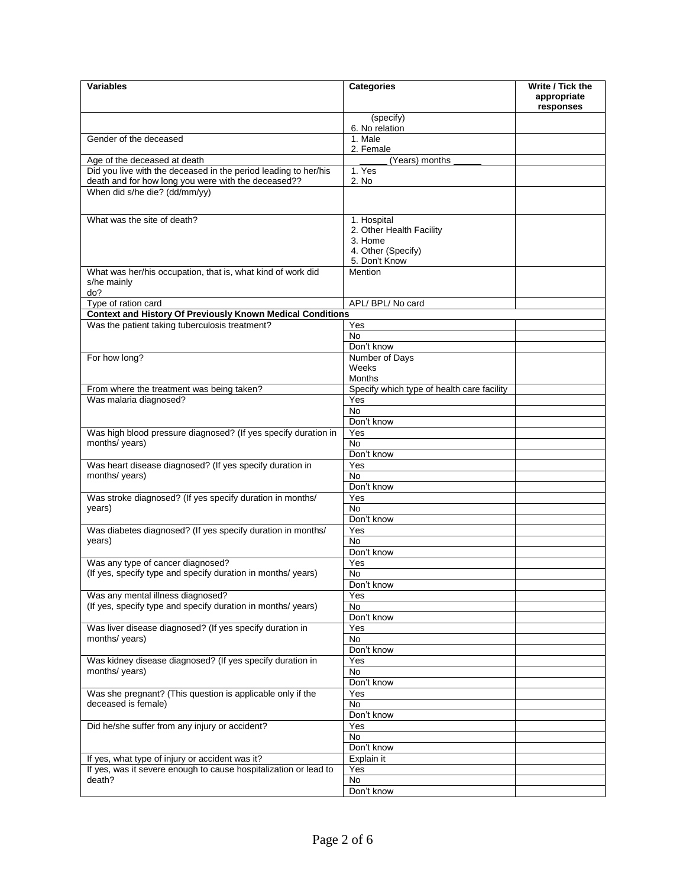| <b>Variables</b>                                                                                                    | <b>Categories</b>                          | Write / Tick the<br>appropriate<br>responses |
|---------------------------------------------------------------------------------------------------------------------|--------------------------------------------|----------------------------------------------|
|                                                                                                                     | (specify)                                  |                                              |
| Gender of the deceased                                                                                              | 6. No relation<br>1. Male                  |                                              |
|                                                                                                                     | 2. Female                                  |                                              |
| Age of the deceased at death                                                                                        | (Years) months                             |                                              |
| Did you live with the deceased in the period leading to her/his                                                     | 1. Yes                                     |                                              |
| death and for how long you were with the deceased??<br>When did s/he die? (dd/mm/yy)                                | 2. No                                      |                                              |
|                                                                                                                     |                                            |                                              |
| What was the site of death?                                                                                         | 1. Hospital                                |                                              |
|                                                                                                                     | 2. Other Health Facility<br>3. Home        |                                              |
|                                                                                                                     | 4. Other (Specify)                         |                                              |
|                                                                                                                     | 5. Don't Know                              |                                              |
| What was her/his occupation, that is, what kind of work did<br>s/he mainly                                          | <b>Mention</b>                             |                                              |
| do?<br>Type of ration card                                                                                          | APL/ BPL/ No card                          |                                              |
| <b>Context and History Of Previously Known Medical Conditions</b>                                                   |                                            |                                              |
| Was the patient taking tuberculosis treatment?                                                                      | Yes                                        |                                              |
|                                                                                                                     | <b>No</b>                                  |                                              |
|                                                                                                                     | Don't know                                 |                                              |
| For how long?                                                                                                       | Number of Days                             |                                              |
|                                                                                                                     | Weeks<br><b>Months</b>                     |                                              |
| From where the treatment was being taken?                                                                           | Specify which type of health care facility |                                              |
| Was malaria diagnosed?                                                                                              | Yes                                        |                                              |
|                                                                                                                     | No                                         |                                              |
|                                                                                                                     | Don't know                                 |                                              |
| Was high blood pressure diagnosed? (If yes specify duration in<br>months/ years)                                    | Yes<br><b>No</b>                           |                                              |
|                                                                                                                     | Don't know                                 |                                              |
| Was heart disease diagnosed? (If yes specify duration in                                                            | Yes                                        |                                              |
| months/ years)                                                                                                      | No                                         |                                              |
|                                                                                                                     | Don't know                                 |                                              |
| Was stroke diagnosed? (If yes specify duration in months/<br>years)                                                 | Yes<br>No                                  |                                              |
|                                                                                                                     | Don't know                                 |                                              |
| Was diabetes diagnosed? (If yes specify duration in months/                                                         | Yes                                        |                                              |
| years)                                                                                                              | No.                                        |                                              |
|                                                                                                                     | Don't know                                 |                                              |
| Was any type of cancer diagnosed?<br>(If yes, specify type and specify duration in months/ years)                   | Yes<br>No.                                 |                                              |
|                                                                                                                     | Don't know                                 |                                              |
| Was any mental illness diagnosed?                                                                                   | Yes                                        |                                              |
| (If yes, specify type and specify duration in months/years)                                                         | No                                         |                                              |
|                                                                                                                     | Don't know                                 |                                              |
| Was liver disease diagnosed? (If yes specify duration in<br>months/ years)                                          | Yes<br>No                                  |                                              |
|                                                                                                                     | Don't know                                 |                                              |
| Was kidney disease diagnosed? (If yes specify duration in                                                           | Yes                                        |                                              |
| months/ years)                                                                                                      | No                                         |                                              |
|                                                                                                                     | Don't know                                 |                                              |
| Was she pregnant? (This question is applicable only if the<br>deceased is female)                                   | Yes<br>No                                  |                                              |
|                                                                                                                     | Don't know                                 |                                              |
| Did he/she suffer from any injury or accident?                                                                      | Yes                                        |                                              |
|                                                                                                                     | No                                         |                                              |
|                                                                                                                     | Don't know                                 |                                              |
| If yes, what type of injury or accident was it?<br>If yes, was it severe enough to cause hospitalization or lead to | Explain it<br>Yes                          |                                              |
| death?                                                                                                              | No                                         |                                              |
|                                                                                                                     | Don't know                                 |                                              |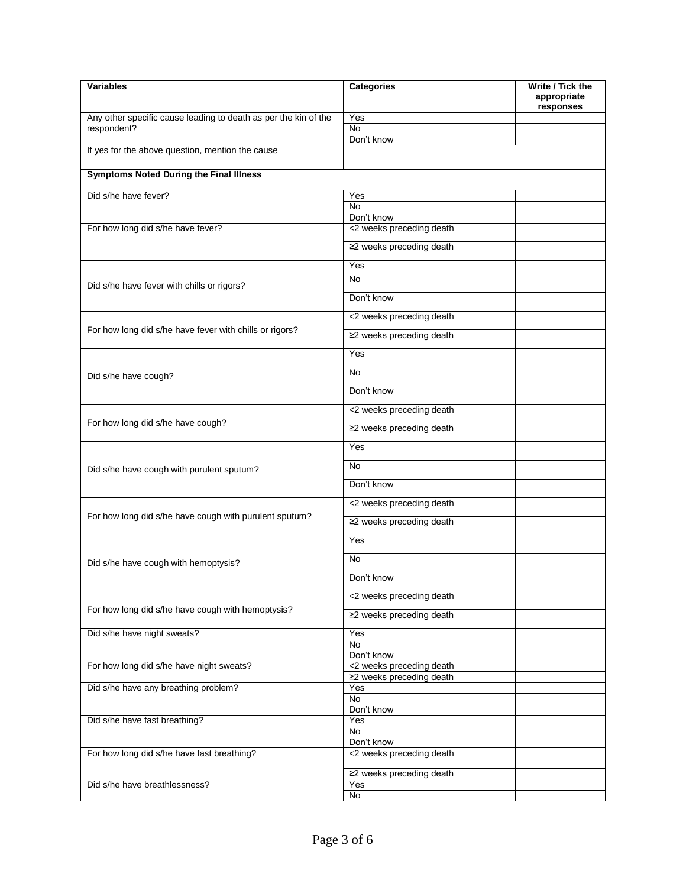| <b>Variables</b>                                                | <b>Categories</b>               | Write / Tick the<br>appropriate |
|-----------------------------------------------------------------|---------------------------------|---------------------------------|
| Any other specific cause leading to death as per the kin of the | Yes                             | responses                       |
| respondent?                                                     | No.                             |                                 |
|                                                                 | Don't know                      |                                 |
| If yes for the above question, mention the cause                |                                 |                                 |
| <b>Symptoms Noted During the Final Illness</b>                  |                                 |                                 |
| Did s/he have fever?                                            | Yes                             |                                 |
|                                                                 | <b>No</b>                       |                                 |
|                                                                 | Don't know                      |                                 |
| For how long did s/he have fever?                               | <2 weeks preceding death        |                                 |
|                                                                 | ≥2 weeks preceding death        |                                 |
|                                                                 | Yes                             |                                 |
|                                                                 | <b>No</b>                       |                                 |
| Did s/he have fever with chills or rigors?                      | Don't know                      |                                 |
|                                                                 | <2 weeks preceding death        |                                 |
| For how long did s/he have fever with chills or rigors?         |                                 |                                 |
|                                                                 | ≥2 weeks preceding death        |                                 |
|                                                                 | Yes                             |                                 |
| Did s/he have cough?                                            | No.                             |                                 |
|                                                                 | Don't know                      |                                 |
|                                                                 | <2 weeks preceding death        |                                 |
| For how long did s/he have cough?                               | ≥2 weeks preceding death        |                                 |
|                                                                 | Yes                             |                                 |
| Did s/he have cough with purulent sputum?                       | <b>No</b>                       |                                 |
|                                                                 | Don't know                      |                                 |
|                                                                 | <2 weeks preceding death        |                                 |
| For how long did s/he have cough with purulent sputum?          | ≥2 weeks preceding death        |                                 |
|                                                                 | Yes                             |                                 |
| Did s/he have cough with hemoptysis?                            | No                              |                                 |
|                                                                 | Don't know                      |                                 |
|                                                                 | <2 weeks preceding death        |                                 |
| For how long did s/he have cough with hemoptysis?               | ≥2 weeks preceding death        |                                 |
| Did s/he have night sweats?                                     | Yes                             |                                 |
|                                                                 | No                              |                                 |
|                                                                 | Don't know                      |                                 |
| For how long did s/he have night sweats?                        | <2 weeks preceding death        |                                 |
| Did s/he have any breathing problem?                            | ≥2 weeks preceding death<br>Yes |                                 |
|                                                                 | No                              |                                 |
|                                                                 | Don't know                      |                                 |
| Did s/he have fast breathing?                                   | Yes                             |                                 |
|                                                                 | No                              |                                 |
|                                                                 | Don't know                      |                                 |
| For how long did s/he have fast breathing?                      | <2 weeks preceding death        |                                 |
|                                                                 | ≥2 weeks preceding death        |                                 |
| Did s/he have breathlessness?                                   | Yes                             |                                 |
|                                                                 | No                              |                                 |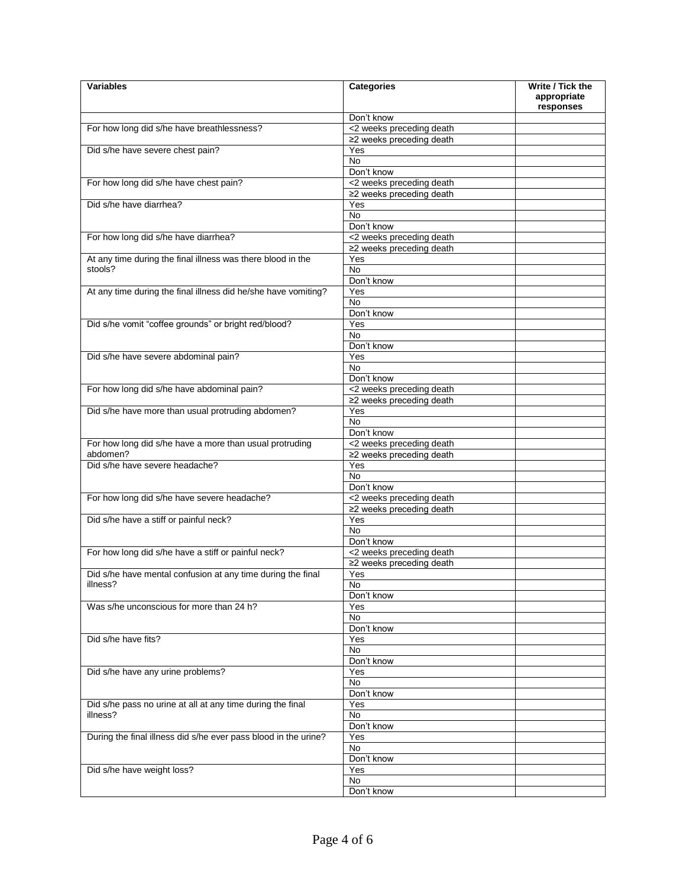| <b>Variables</b>                                                | <b>Categories</b>        | Write / Tick the<br>appropriate<br>responses |
|-----------------------------------------------------------------|--------------------------|----------------------------------------------|
|                                                                 | Don't know               |                                              |
| For how long did s/he have breathlessness?                      | <2 weeks preceding death |                                              |
|                                                                 | ≥2 weeks preceding death |                                              |
| Did s/he have severe chest pain?                                | Yes                      |                                              |
|                                                                 | No                       |                                              |
|                                                                 | Don't know               |                                              |
| For how long did s/he have chest pain?                          | <2 weeks preceding death |                                              |
|                                                                 | ≥2 weeks preceding death |                                              |
| Did s/he have diarrhea?                                         | Yes                      |                                              |
|                                                                 | No.                      |                                              |
|                                                                 | Don't know               |                                              |
| For how long did s/he have diarrhea?                            | <2 weeks preceding death |                                              |
|                                                                 |                          |                                              |
|                                                                 | ≥2 weeks preceding death |                                              |
| At any time during the final illness was there blood in the     | Yes                      |                                              |
| stools?                                                         | No                       |                                              |
|                                                                 | Don't know               |                                              |
| At any time during the final illness did he/she have vomiting?  | Yes                      |                                              |
|                                                                 | No                       |                                              |
|                                                                 | Don't know               |                                              |
| Did s/he vomit "coffee grounds" or bright red/blood?            | Yes                      |                                              |
|                                                                 | No                       |                                              |
|                                                                 | Don't know               |                                              |
| Did s/he have severe abdominal pain?                            | Yes                      |                                              |
|                                                                 | <b>No</b>                |                                              |
|                                                                 | Don't know               |                                              |
| For how long did s/he have abdominal pain?                      | <2 weeks preceding death |                                              |
|                                                                 | ≥2 weeks preceding death |                                              |
| Did s/he have more than usual protruding abdomen?               | Yes                      |                                              |
|                                                                 | <b>No</b>                |                                              |
|                                                                 | Don't know               |                                              |
| For how long did s/he have a more than usual protruding         | <2 weeks preceding death |                                              |
| abdomen?                                                        | ≥2 weeks preceding death |                                              |
| Did s/he have severe headache?                                  | Yes                      |                                              |
|                                                                 | No                       |                                              |
|                                                                 | Don't know               |                                              |
|                                                                 |                          |                                              |
| For how long did s/he have severe headache?                     | <2 weeks preceding death |                                              |
|                                                                 | ≥2 weeks preceding death |                                              |
| Did s/he have a stiff or painful neck?                          | Yes                      |                                              |
|                                                                 | No                       |                                              |
|                                                                 | Don't know               |                                              |
| For how long did s/he have a stiff or painful neck?             | <2 weeks preceding death |                                              |
|                                                                 | ≥2 weeks preceding death |                                              |
| Did s/he have mental confusion at any time during the final     | Yes                      |                                              |
| illness?                                                        | No.                      |                                              |
|                                                                 | Don't know               |                                              |
| Was s/he unconscious for more than 24 h?                        | Yes                      |                                              |
|                                                                 | No                       |                                              |
|                                                                 | Don't know               |                                              |
| Did s/he have fits?                                             | Yes                      |                                              |
|                                                                 | No                       |                                              |
|                                                                 | Don't know               |                                              |
| Did s/he have any urine problems?                               | Yes                      |                                              |
|                                                                 | No                       |                                              |
|                                                                 | Don't know               |                                              |
| Did s/he pass no urine at all at any time during the final      | Yes                      |                                              |
| illness?                                                        | No                       |                                              |
|                                                                 | Don't know               |                                              |
| During the final illness did s/he ever pass blood in the urine? |                          |                                              |
|                                                                 | Yes<br>No                |                                              |
|                                                                 | Don't know               |                                              |
|                                                                 |                          |                                              |
| Did s/he have weight loss?                                      | Yes                      |                                              |
|                                                                 | No                       |                                              |
|                                                                 | Don't know               |                                              |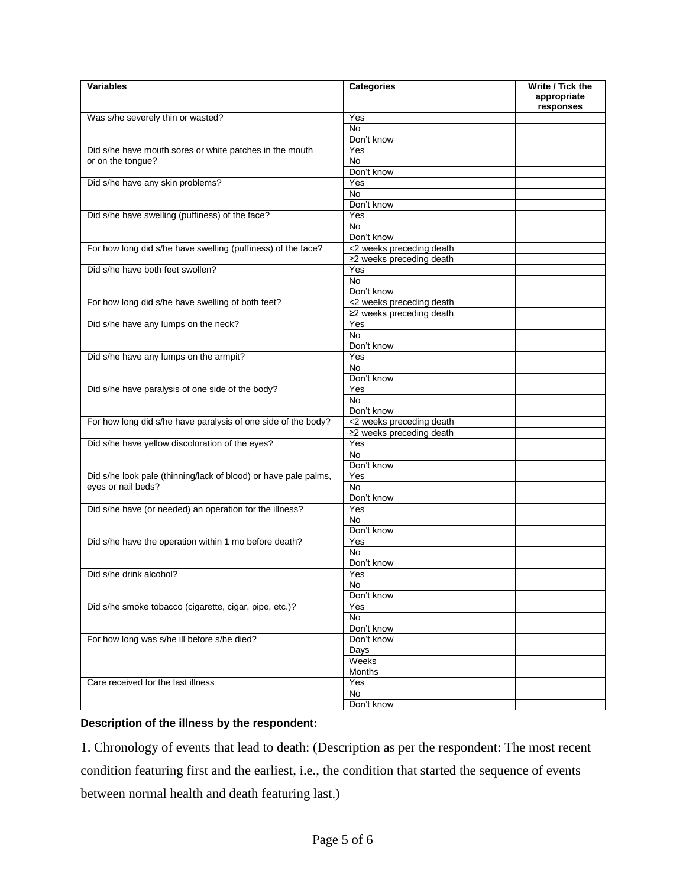| <b>Variables</b>                                                | <b>Categories</b>        | Write / Tick the<br>appropriate<br>responses |
|-----------------------------------------------------------------|--------------------------|----------------------------------------------|
| Was s/he severely thin or wasted?                               | Yes                      |                                              |
|                                                                 | No                       |                                              |
|                                                                 | Don't know               |                                              |
| Did s/he have mouth sores or white patches in the mouth         | Yes                      |                                              |
| or on the tongue?                                               | No                       |                                              |
|                                                                 | Don't know               |                                              |
| Did s/he have any skin problems?                                | Yes                      |                                              |
|                                                                 | No                       |                                              |
|                                                                 | Don't know               |                                              |
| Did s/he have swelling (puffiness) of the face?                 | Yes                      |                                              |
|                                                                 | <b>No</b>                |                                              |
|                                                                 | Don't know               |                                              |
| For how long did s/he have swelling (puffiness) of the face?    | <2 weeks preceding death |                                              |
|                                                                 | ≥2 weeks preceding death |                                              |
| Did s/he have both feet swollen?                                | Yes                      |                                              |
|                                                                 | No                       |                                              |
|                                                                 | Don't know               |                                              |
| For how long did s/he have swelling of both feet?               | <2 weeks preceding death |                                              |
|                                                                 | ≥2 weeks preceding death |                                              |
| Did s/he have any lumps on the neck?                            | Yes                      |                                              |
|                                                                 | <b>No</b>                |                                              |
|                                                                 | Don't know               |                                              |
| Did s/he have any lumps on the armpit?                          | Yes                      |                                              |
|                                                                 | <b>No</b>                |                                              |
|                                                                 | Don't know               |                                              |
| Did s/he have paralysis of one side of the body?                | Yes                      |                                              |
|                                                                 | No.                      |                                              |
|                                                                 | Don't know               |                                              |
| For how long did s/he have paralysis of one side of the body?   | <2 weeks preceding death |                                              |
|                                                                 | ≥2 weeks preceding death |                                              |
| Did s/he have yellow discoloration of the eyes?                 | Yes                      |                                              |
|                                                                 | No                       |                                              |
|                                                                 | Don't know               |                                              |
| Did s/he look pale (thinning/lack of blood) or have pale palms, | Yes                      |                                              |
| eyes or nail beds?                                              | N <sub>o</sub>           |                                              |
|                                                                 | Don't know               |                                              |
| Did s/he have (or needed) an operation for the illness?         | Yes                      |                                              |
|                                                                 | N <sub>o</sub>           |                                              |
|                                                                 | Don't know               |                                              |
| Did s/he have the operation within 1 mo before death?           | Yes                      |                                              |
|                                                                 | No                       |                                              |
|                                                                 | Don't know               |                                              |
| Did s/he drink alcohol?                                         | Yes                      |                                              |
|                                                                 | No                       |                                              |
|                                                                 | Don't know               |                                              |
| Did s/he smoke tobacco (cigarette, cigar, pipe, etc.)?          | Yes                      |                                              |
|                                                                 | No                       |                                              |
|                                                                 | Don't know               |                                              |
| For how long was s/he ill before s/he died?                     | Don't know               |                                              |
|                                                                 | Days                     |                                              |
|                                                                 | Weeks                    |                                              |
|                                                                 | Months                   |                                              |
| Care received for the last illness                              | Yes                      |                                              |
|                                                                 | No                       |                                              |
|                                                                 | Don't know               |                                              |

#### **Description of the illness by the respondent:**

1. Chronology of events that lead to death: (Description as per the respondent: The most recent condition featuring first and the earliest, i.e., the condition that started the sequence of events between normal health and death featuring last.)